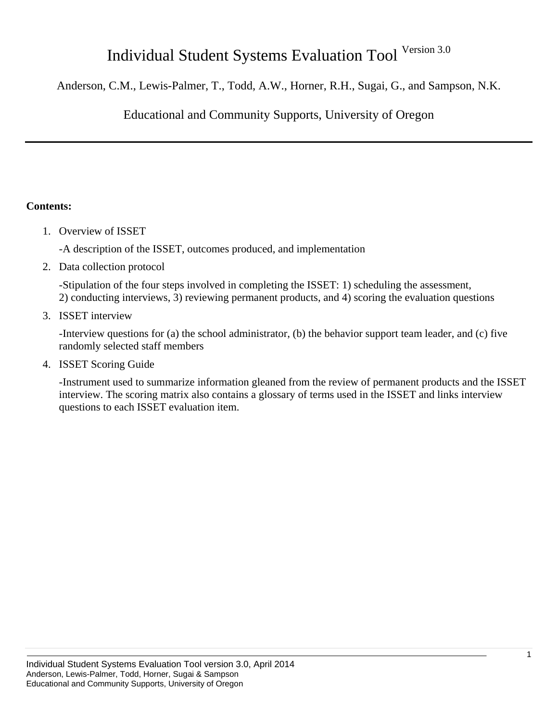# Individual Student Systems Evaluation Tool Version 3.0

Anderson, C.M., Lewis-Palmer, T., Todd, A.W., Horner, R.H., Sugai, G., and Sampson, N.K.

Educational and Community Supports, University of Oregon

# **Contents:**

1. Overview of ISSET

-A description of the ISSET, outcomes produced, and implementation

2. Data collection protocol

-Stipulation of the four steps involved in completing the ISSET: 1) scheduling the assessment, 2) conducting interviews, 3) reviewing permanent products, and 4) scoring the evaluation questions

3. ISSET interview

-Interview questions for (a) the school administrator, (b) the behavior support team leader, and (c) five randomly selected staff members

4. ISSET Scoring Guide

-Instrument used to summarize information gleaned from the review of permanent products and the ISSET interview. The scoring matrix also contains a glossary of terms used in the ISSET and links interview questions to each ISSET evaluation item.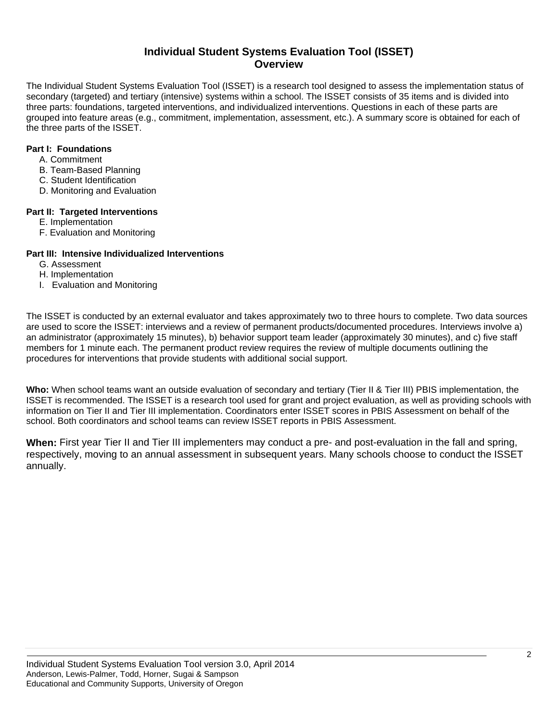# **Individual Student Systems Evaluation Tool (ISSET) Overview**

The Individual Student Systems Evaluation Tool (ISSET) is a research tool designed to assess the implementation status of secondary (targeted) and tertiary (intensive) systems within a school. The ISSET consists of 35 items and is divided into three parts: foundations, targeted interventions, and individualized interventions. Questions in each of these parts are grouped into feature areas (e.g., commitment, implementation, assessment, etc.). A summary score is obtained for each of the three parts of the ISSET.

## **Part I: Foundations**

- A. Commitment
- B. Team-Based Planning
- C. Student Identification
- D. Monitoring and Evaluation

#### **Part II: Targeted Interventions**

- E. Implementation
- F. Evaluation and Monitoring

# **Part III: Intensive Individualized Interventions**

- G. Assessment
- H. Implementation
- I. Evaluation and Monitoring

The ISSET is conducted by an external evaluator and takes approximately two to three hours to complete. Two data sources are used to score the ISSET: interviews and a review of permanent products/documented procedures. Interviews involve a) an administrator (approximately 15 minutes), b) behavior support team leader (approximately 30 minutes), and c) five staff members for 1 minute each. The permanent product review requires the review of multiple documents outlining the procedures for interventions that provide students with additional social support.

**Who:** When school teams want an outside evaluation of secondary and tertiary (Tier II & Tier III) PBIS implementation, the ISSET is recommended. The ISSET is a research tool used for grant and project evaluation, as well as providing schools with information on Tier II and Tier III implementation. Coordinators enter ISSET scores in PBIS Assessment on behalf of the school. Both coordinators and school teams can review ISSET reports in PBIS Assessment.

**When:** First year Tier II and Tier III implementers may conduct a pre- and post-evaluation in the fall and spring, respectively, moving to an annual assessment in subsequent years. Many schools choose to conduct the ISSET annually.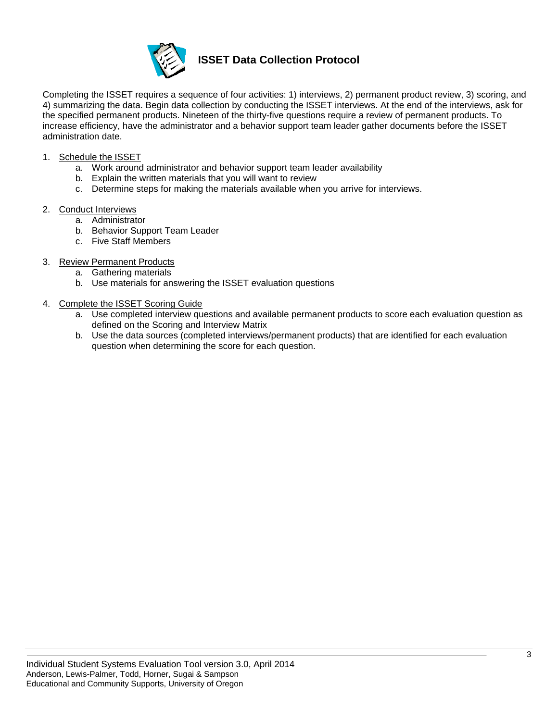

# **ISSET Data Collection Protocol**

Completing the ISSET requires a sequence of four activities: 1) interviews, 2) permanent product review, 3) scoring, and 4) summarizing the data. Begin data collection by conducting the ISSET interviews. At the end of the interviews, ask for the specified permanent products. Nineteen of the thirty-five questions require a review of permanent products. To increase efficiency, have the administrator and a behavior support team leader gather documents before the ISSET administration date.

- 1. Schedule the ISSET
	- a. Work around administrator and behavior support team leader availability
	- b. Explain the written materials that you will want to review
	- c. Determine steps for making the materials available when you arrive for interviews.
- 2. Conduct Interviews
	- a. Administrator
	- b. Behavior Support Team Leader
	- c. Five Staff Members
- 3. Review Permanent Products
	- a. Gathering materials
	- b. Use materials for answering the ISSET evaluation questions
- 4. Complete the ISSET Scoring Guide
	- a. Use completed interview questions and available permanent products to score each evaluation question as defined on the Scoring and Interview Matrix
	- b. Use the data sources (completed interviews/permanent products) that are identified for each evaluation question when determining the score for each question.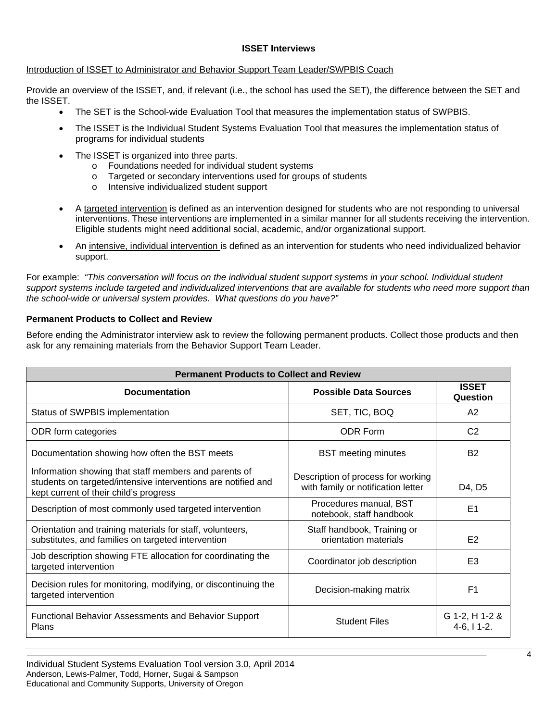#### **ISSET Interviews**

## Introduction of ISSET to Administrator and Behavior Support Team Leader/SWPBIS Coach

Provide an overview of the ISSET, and, if relevant (i.e., the school has used the SET), the difference between the SET and the ISSET.

- The SET is the School-wide Evaluation Tool that measures the implementation status of SWPBIS.
- The ISSET is the Individual Student Systems Evaluation Tool that measures the implementation status of programs for individual students
- The ISSET is organized into three parts.
	- o Foundations needed for individual student systems
	- o Targeted or secondary interventions used for groups of students
	- o Intensive individualized student support
- A targeted intervention is defined as an intervention designed for students who are not responding to universal interventions. These interventions are implemented in a similar manner for all students receiving the intervention. Eligible students might need additional social, academic, and/or organizational support.
- An intensive, individual intervention is defined as an intervention for students who need individualized behavior support.

For example: *"This conversation will focus on the individual student support systems in your school. Individual student support systems include targeted and individualized interventions that are available for students who need more support than the school-wide or universal system provides. What questions do you have?"* 

# **Permanent Products to Collect and Review**

Before ending the Administrator interview ask to review the following permanent products. Collect those products and then ask for any remaining materials from the Behavior Support Team Leader.

| <b>Permanent Products to Collect and Review</b>                                                                                                                  |                                                                          |                                    |
|------------------------------------------------------------------------------------------------------------------------------------------------------------------|--------------------------------------------------------------------------|------------------------------------|
| <b>Documentation</b>                                                                                                                                             | <b>Possible Data Sources</b>                                             | <b>ISSET</b><br>Question           |
| Status of SWPBIS implementation                                                                                                                                  | SET, TIC, BOQ                                                            | A2                                 |
| ODR form categories                                                                                                                                              | <b>ODR Form</b>                                                          | C <sub>2</sub>                     |
| Documentation showing how often the BST meets                                                                                                                    | <b>BST</b> meeting minutes                                               | <b>B2</b>                          |
| Information showing that staff members and parents of<br>students on targeted/intensive interventions are notified and<br>kept current of their child's progress | Description of process for working<br>with family or notification letter | D4, D5                             |
| Description of most commonly used targeted intervention                                                                                                          | Procedures manual, BST<br>notebook, staff handbook                       | E1                                 |
| Orientation and training materials for staff, volunteers,<br>substitutes, and families on targeted intervention                                                  | Staff handbook, Training or<br>orientation materials                     | E2                                 |
| Job description showing FTE allocation for coordinating the<br>targeted intervention                                                                             | Coordinator job description                                              | E <sub>3</sub>                     |
| Decision rules for monitoring, modifying, or discontinuing the<br>targeted intervention                                                                          | Decision-making matrix                                                   | F <sub>1</sub>                     |
| <b>Functional Behavior Assessments and Behavior Support</b><br>Plans                                                                                             | <b>Student Files</b>                                                     | G 1-2, H 1-2 &<br>$4-6$ , $11-2$ . |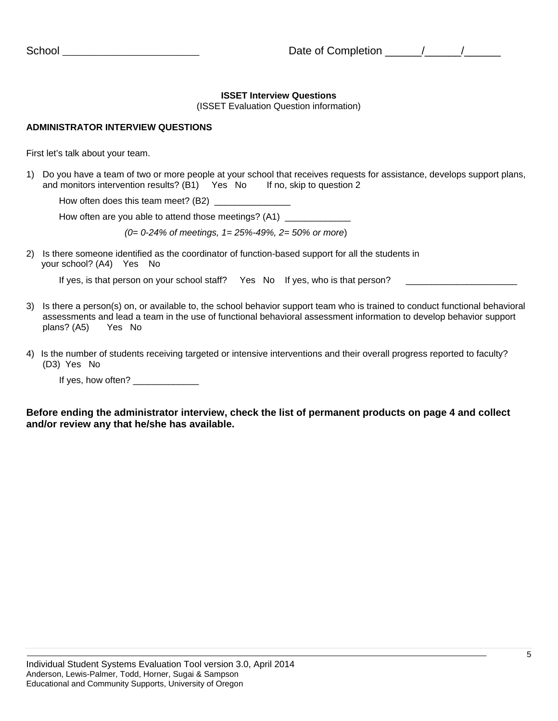## **ISSET Interview Questions**

(ISSET Evaluation Question information)

## **ADMINISTRATOR INTERVIEW QUESTIONS**

First let's talk about your team.

1) Do you have a team of two or more people at your school that receives requests for assistance, develops support plans, and monitors intervention results? (B1) Yes No If no, skip to question 2

How often does this team meet? (B2) \_\_\_\_\_\_\_\_

How often are you able to attend those meetings? (A1) \_\_\_\_\_\_\_\_\_\_\_\_\_\_\_\_\_\_\_\_\_\_\_\_\_\_

*(0= 0-24% of meetings, 1= 25%-49%, 2= 50% or more*)

2) Is there someone identified as the coordinator of function-based support for all the students in your school? (A4) Yes No

If yes, is that person on your school staff? Yes No If yes, who is that person?

- 3) Is there a person(s) on, or available to, the school behavior support team who is trained to conduct functional behavioral assessments and lead a team in the use of functional behavioral assessment information to develop behavior support plans? (A5) Yes No
- 4) Is the number of students receiving targeted or intensive interventions and their overall progress reported to faculty? (D3) Yes No

If yes, how often? \_\_\_\_\_\_\_\_\_\_\_

**Before ending the administrator interview, check the list of permanent products on page 4 and collect and/or review any that he/she has available.**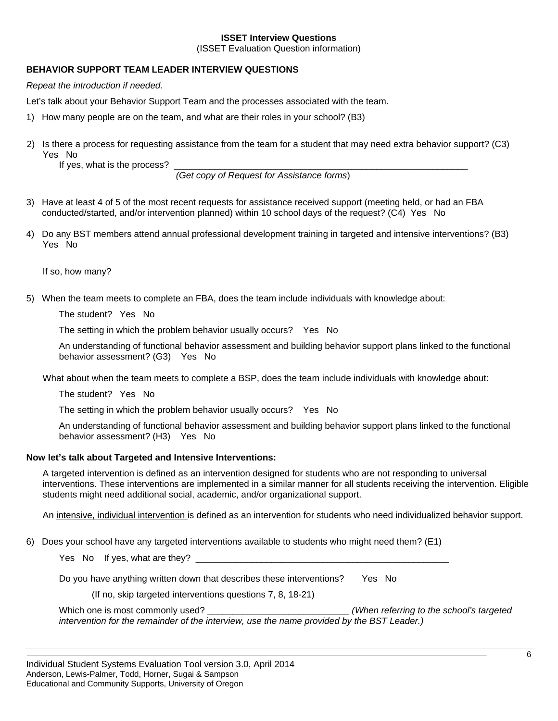#### **ISSET Interview Questions**

(ISSET Evaluation Question information)

# **BEHAVIOR SUPPORT TEAM LEADER INTERVIEW QUESTIONS**

*Repeat the introduction if needed.* 

Let's talk about your Behavior Support Team and the processes associated with the team.

- 1) How many people are on the team, and what are their roles in your school? (B3)
- 2) Is there a process for requesting assistance from the team for a student that may need extra behavior support? (C3) Yes No

If yes, what is the process?

 *(Get copy of Request for Assistance forms*)

- 3) Have at least 4 of 5 of the most recent requests for assistance received support (meeting held, or had an FBA conducted/started, and/or intervention planned) within 10 school days of the request? (C4) Yes No
- 4) Do any BST members attend annual professional development training in targeted and intensive interventions? (B3) Yes No

If so, how many?

5) When the team meets to complete an FBA, does the team include individuals with knowledge about:

The student? Yes No

The setting in which the problem behavior usually occurs? Yes No

 An understanding of functional behavior assessment and building behavior support plans linked to the functional behavior assessment? (G3) Yes No

What about when the team meets to complete a BSP, does the team include individuals with knowledge about:

The student? Yes No

The setting in which the problem behavior usually occurs? Yes No

 An understanding of functional behavior assessment and building behavior support plans linked to the functional behavior assessment? (H3) Yes No

## **Now let's talk about Targeted and Intensive Interventions:**

A targeted intervention is defined as an intervention designed for students who are not responding to universal interventions. These interventions are implemented in a similar manner for all students receiving the intervention. Eligible students might need additional social, academic, and/or organizational support.

An intensive, individual intervention is defined as an intervention for students who need individualized behavior support.

6) Does your school have any targeted interventions available to students who might need them? (E1)

Yes No If yes, what are they? \_\_\_\_\_\_\_\_\_\_\_\_\_\_\_\_\_\_\_\_\_\_\_\_\_\_\_\_\_\_\_\_\_\_\_\_\_\_\_\_\_\_\_\_\_\_\_\_\_\_

Do you have anything written down that describes these interventions? Yes No

(If no, skip targeted interventions questions 7, 8, 18-21)

Which one is most commonly used? \_\_\_\_\_\_\_\_\_\_\_\_\_\_\_\_\_\_\_\_\_\_\_\_\_\_\_\_\_\_\_\_\_\_ *(When referring to the school's targeted intervention for the remainder of the interview, use the name provided by the BST Leader.)*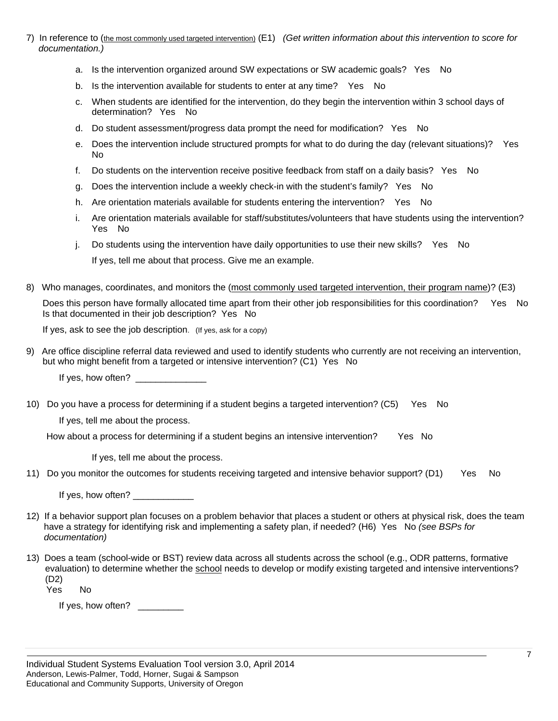- 7) In reference to (the most commonly used targeted intervention) (E1) *(Get written information about this intervention to score for documentation.)* 
	- a. Is the intervention organized around SW expectations or SW academic goals? Yes No
	- b. Is the intervention available for students to enter at any time? Yes No
	- c. When students are identified for the intervention, do they begin the intervention within 3 school days of determination? Yes No
	- d. Do student assessment/progress data prompt the need for modification? Yes No
	- e. Does the intervention include structured prompts for what to do during the day (relevant situations)? Yes No
	- f. Do students on the intervention receive positive feedback from staff on a daily basis? Yes No
	- g. Does the intervention include a weekly check-in with the student's family? Yes No
	- h. Are orientation materials available for students entering the intervention? Yes No
	- i. Are orientation materials available for staff/substitutes/volunteers that have students using the intervention? Yes No
	- j. Do students using the intervention have daily opportunities to use their new skills? Yes No If yes, tell me about that process. Give me an example.
- 8) Who manages, coordinates, and monitors the (most commonly used targeted intervention, their program name)? (E3) Does this person have formally allocated time apart from their other job responsibilities for this coordination? Yes No Is that documented in their job description? Yes No

If yes, ask to see the job description. (If yes, ask for a copy)

9) Are office discipline referral data reviewed and used to identify students who currently are not receiving an intervention, but who might benefit from a targeted or intensive intervention? (C1) Yes No

If yes, how often? \_\_\_\_\_\_\_\_\_\_\_\_\_\_

10) Do you have a process for determining if a student begins a targeted intervention? (C5) Yes No

If yes, tell me about the process.

How about a process for determining if a student begins an intensive intervention? Yes No

If yes, tell me about the process.

11) Do you monitor the outcomes for students receiving targeted and intensive behavior support? (D1) Yes No

If yes, how often?

- 12) If a behavior support plan focuses on a problem behavior that places a student or others at physical risk, does the team have a strategy for identifying risk and implementing a safety plan, if needed? (H6) Yes No *(see BSPs for documentation)*
- 13) Does a team (school-wide or BST) review data across all students across the school (e.g., ODR patterns, formative evaluation) to determine whether the school needs to develop or modify existing targeted and intensive interventions? (D2) Yes No

If yes, how often? \_\_\_\_\_\_\_\_\_\_\_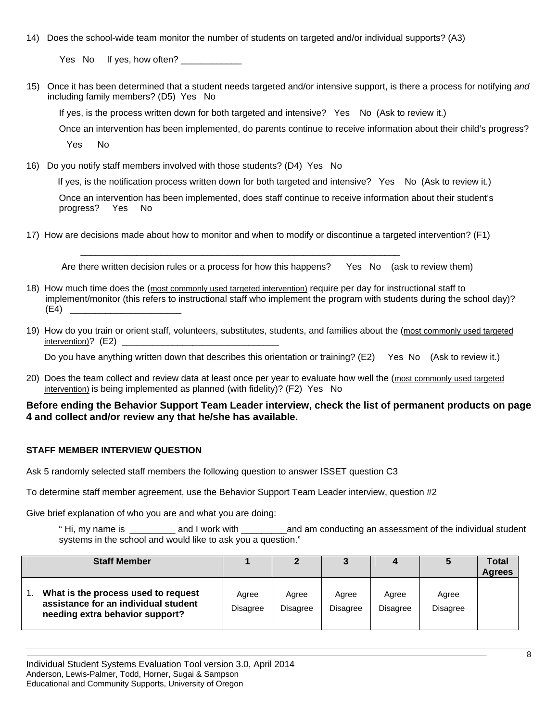14) Does the school-wide team monitor the number of students on targeted and/or individual supports? (A3)

Yes No If yes, how often?

15) Once it has been determined that a student needs targeted and/or intensive support, is there a process for notifying *and* including family members? (D5) Yes No

If yes, is the process written down for both targeted and intensive? Yes No (Ask to review it.)

Once an intervention has been implemented, do parents continue to receive information about their child's progress?

Yes No

16) Do you notify staff members involved with those students? (D4) Yes No

If yes, is the notification process written down for both targeted and intensive? Yes No (Ask to review it.)

Once an intervention has been implemented, does staff continue to receive information about their student's progress? Yes No

17) How are decisions made about how to monitor and when to modify or discontinue a targeted intervention? (F1)

\_\_\_\_\_\_\_\_\_\_\_\_\_\_\_\_\_\_\_\_\_\_\_\_\_\_\_\_\_\_\_\_\_\_\_\_\_\_\_\_\_\_\_\_\_\_\_\_\_\_\_\_\_\_\_\_\_\_\_\_\_\_\_

Are there written decision rules or a process for how this happens? Yes No (ask to review them)

- 18) How much time does the (most commonly used targeted intervention) require per day for instructional staff to implement/monitor (this refers to instructional staff who implement the program with students during the school day)?  $(E4)$
- 19) How do you train or orient staff, volunteers, substitutes, students, and families about the (most commonly used targeted  $intervention$ ? (E2)

Do you have anything written down that describes this orientation or training? (E2) Yes No (Ask to review it.)

20) Does the team collect and review data at least once per year to evaluate how well the (most commonly used targeted intervention) is being implemented as planned (with fidelity)? (F2) Yes No

# **Before ending the Behavior Support Team Leader interview, check the list of permanent products on page 4 and collect and/or review any that he/she has available.**

# **STAFF MEMBER INTERVIEW QUESTION**

Ask 5 randomly selected staff members the following question to answer ISSET question C3

To determine staff member agreement, use the Behavior Support Team Leader interview, question #2

Give brief explanation of who you are and what you are doing:

" Hi, my name is \_\_\_\_\_\_\_\_\_ and I work with \_\_\_\_\_\_\_\_\_and am conducting an assessment of the individual student systems in the school and would like to ask you a question."

| <b>Staff Member</b>                                                                                            |                   |                   |                   |                          |                   | Total<br><b>Agrees</b> |
|----------------------------------------------------------------------------------------------------------------|-------------------|-------------------|-------------------|--------------------------|-------------------|------------------------|
| What is the process used to request<br>assistance for an individual student<br>needing extra behavior support? | Agree<br>Disagree | Agree<br>Disagree | Agree<br>Disagree | Agree<br><b>Disagree</b> | Agree<br>Disagree |                        |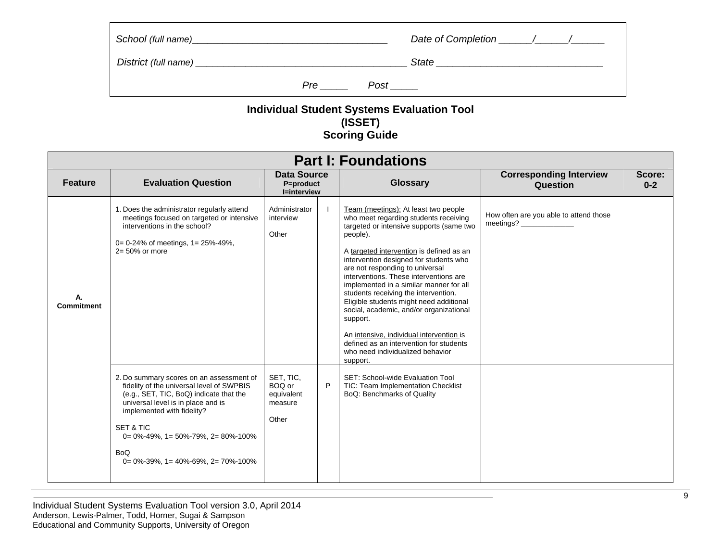|     |      | State |
|-----|------|-------|
| Pre | Post |       |

# **Individual Student Systems Evaluation Tool (ISSET) Scoring Guide**

|                   | <b>Part I: Foundations</b>                                                                                                                                                                                                                                                                                                                                           |                                                       |                                                                   |                                                                                                                                                                                                                                                                                                                                                                                                                                                                                                                                                                                                                                      |                                                     |                   |  |  |  |  |
|-------------------|----------------------------------------------------------------------------------------------------------------------------------------------------------------------------------------------------------------------------------------------------------------------------------------------------------------------------------------------------------------------|-------------------------------------------------------|-------------------------------------------------------------------|--------------------------------------------------------------------------------------------------------------------------------------------------------------------------------------------------------------------------------------------------------------------------------------------------------------------------------------------------------------------------------------------------------------------------------------------------------------------------------------------------------------------------------------------------------------------------------------------------------------------------------------|-----------------------------------------------------|-------------------|--|--|--|--|
| <b>Feature</b>    | <b>Evaluation Question</b>                                                                                                                                                                                                                                                                                                                                           |                                                       | <b>Data Source</b><br>Glossary<br>P=product<br><b>I=interview</b> |                                                                                                                                                                                                                                                                                                                                                                                                                                                                                                                                                                                                                                      | <b>Corresponding Interview</b><br>Question          | Score:<br>$0 - 2$ |  |  |  |  |
| <b>Commitment</b> | 1. Does the administrator regularly attend<br>meetings focused on targeted or intensive<br>interventions in the school?<br>$0 = 0 - 24\%$ of meetings, $1 = 25\% - 49\%$ ,<br>$2 = 50\%$ or more                                                                                                                                                                     | Administrator<br>interview<br>Other                   |                                                                   | Team (meetings): At least two people<br>who meet regarding students receiving<br>targeted or intensive supports (same two<br>people).<br>A targeted intervention is defined as an<br>intervention designed for students who<br>are not responding to universal<br>interventions. These interventions are<br>implemented in a similar manner for all<br>students receiving the intervention.<br>Eligible students might need additional<br>social, academic, and/or organizational<br>support.<br>An intensive, individual intervention is<br>defined as an intervention for students<br>who need individualized behavior<br>support. | How often are you able to attend those<br>meetings? |                   |  |  |  |  |
|                   | 2. Do summary scores on an assessment of<br>fidelity of the universal level of SWPBIS<br>(e.g., SET, TIC, BoQ) indicate that the<br>universal level is in place and is<br>implemented with fidelity?<br><b>SET &amp; TIC</b><br>$0 = 0\% - 49\%$ , $1 = 50\% - 79\%$ , $2 = 80\% - 100\%$<br><b>BoQ</b><br>$0 = 0\% - 39\%$ , $1 = 40\% - 69\%$ , $2 = 70\% - 100\%$ | SET, TIC,<br>BOQ or<br>equivalent<br>measure<br>Other | P                                                                 | SET: School-wide Evaluation Tool<br>TIC: Team Implementation Checklist<br>BoQ: Benchmarks of Quality                                                                                                                                                                                                                                                                                                                                                                                                                                                                                                                                 |                                                     |                   |  |  |  |  |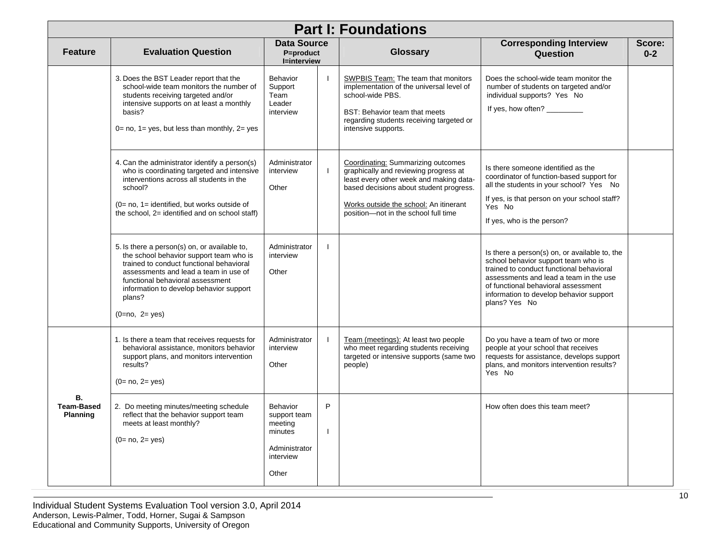|                                            |                                                                                                                                                                                                                                                                                          |                                                                                       |   | <b>Part I: Foundations</b>                                                                                                                                                                                                                          |                                                                                                                                                                                                                                                                               |                   |
|--------------------------------------------|------------------------------------------------------------------------------------------------------------------------------------------------------------------------------------------------------------------------------------------------------------------------------------------|---------------------------------------------------------------------------------------|---|-----------------------------------------------------------------------------------------------------------------------------------------------------------------------------------------------------------------------------------------------------|-------------------------------------------------------------------------------------------------------------------------------------------------------------------------------------------------------------------------------------------------------------------------------|-------------------|
| <b>Feature</b>                             | <b>Evaluation Question</b>                                                                                                                                                                                                                                                               | Data Source<br>P=product<br><b>I=interview</b>                                        |   | <b>Glossary</b>                                                                                                                                                                                                                                     | <b>Corresponding Interview</b><br>Question                                                                                                                                                                                                                                    | Score:<br>$0 - 2$ |
|                                            | 3. Does the BST Leader report that the<br>school-wide team monitors the number of<br>students receiving targeted and/or<br>intensive supports on at least a monthly<br>basis?<br>$0 = no$ , $1 = yes$ , but less than monthly, $2 = yes$                                                 | Behavior<br>Support<br>Team<br>Leader<br>interview                                    |   | <b>SWPBIS Team:</b> The team that monitors<br>implementation of the universal level of<br>school-wide PBS.<br>BST: Behavior team that meets<br>regarding students receiving targeted or<br>intensive supports.                                      | Does the school-wide team monitor the<br>number of students on targeted and/or<br>individual supports? Yes No<br>If yes, how often? _________                                                                                                                                 |                   |
|                                            | 4. Can the administrator identify a person(s)<br>who is coordinating targeted and intensive<br>interventions across all students in the<br>school?<br>$(0=$ no, $1=$ identified, but works outside of<br>the school, 2= identified and on school staff)                                  | Administrator<br>interview<br>Other                                                   |   | Coordinating: Summarizing outcomes<br>graphically and reviewing progress at<br>least every other week and making data-<br>based decisions about student progress.<br>Works outside the school: An itinerant<br>position-not in the school full time | Is there someone identified as the<br>coordinator of function-based support for<br>all the students in your school? Yes No<br>If yes, is that person on your school staff?<br>Yes No<br>If yes, who is the person?                                                            |                   |
|                                            | 5. Is there a person(s) on, or available to,<br>the school behavior support team who is<br>trained to conduct functional behavioral<br>assessments and lead a team in use of<br>functional behavioral assessment<br>information to develop behavior support<br>plans?<br>$(0=no, 2=yes)$ | Administrator<br>interview<br>Other                                                   |   |                                                                                                                                                                                                                                                     | Is there a person(s) on, or available to, the<br>school behavior support team who is<br>trained to conduct functional behavioral<br>assessments and lead a team in the use<br>of functional behavioral assessment<br>information to develop behavior support<br>plans? Yes No |                   |
|                                            | 1. Is there a team that receives requests for<br>behavioral assistance, monitors behavior<br>support plans, and monitors intervention<br>results?<br>$(0=no, 2=yes)$                                                                                                                     | Administrator<br>interview<br>Other                                                   |   | Team (meetings): At least two people<br>who meet regarding students receiving<br>targeted or intensive supports (same two<br>people)                                                                                                                | Do you have a team of two or more<br>people at your school that receives<br>requests for assistance, develops support<br>plans, and monitors intervention results?<br>Yes No                                                                                                  |                   |
| В.<br><b>Team-Based</b><br><b>Planning</b> | 2. Do meeting minutes/meeting schedule<br>reflect that the behavior support team<br>meets at least monthly?<br>$(0=no, 2=yes)$                                                                                                                                                           | Behavior<br>support team<br>meeting<br>minutes<br>Administrator<br>interview<br>Other | P |                                                                                                                                                                                                                                                     | How often does this team meet?                                                                                                                                                                                                                                                |                   |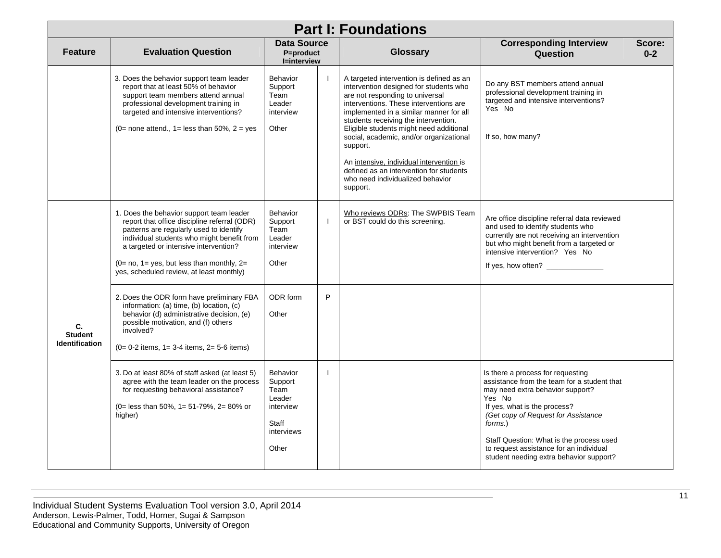|                                               |                                                                                                                                                                                                                                                                                                                           | <b>Part I: Foundations</b>                                                                |   |                                                                                                                                                                                                                                                                                                                                                                                                                                                                                             |                                                                                                                                                                                                                                                                                                                                                    |                   |
|-----------------------------------------------|---------------------------------------------------------------------------------------------------------------------------------------------------------------------------------------------------------------------------------------------------------------------------------------------------------------------------|-------------------------------------------------------------------------------------------|---|---------------------------------------------------------------------------------------------------------------------------------------------------------------------------------------------------------------------------------------------------------------------------------------------------------------------------------------------------------------------------------------------------------------------------------------------------------------------------------------------|----------------------------------------------------------------------------------------------------------------------------------------------------------------------------------------------------------------------------------------------------------------------------------------------------------------------------------------------------|-------------------|
| <b>Feature</b>                                | <b>Evaluation Question</b>                                                                                                                                                                                                                                                                                                | Data Source<br>P=product<br><b>I=interview</b>                                            |   | <b>Glossary</b>                                                                                                                                                                                                                                                                                                                                                                                                                                                                             | <b>Corresponding Interview</b><br>Question                                                                                                                                                                                                                                                                                                         | Score:<br>$0 - 2$ |
|                                               | 3. Does the behavior support team leader<br>report that at least 50% of behavior<br>support team members attend annual<br>professional development training in<br>targeted and intensive interventions?<br>(0= none attend., 1= less than $50\%$ , 2 = yes                                                                | Behavior<br>Support<br>Team<br>Leader<br>interview<br>Other                               |   | A targeted intervention is defined as an<br>intervention designed for students who<br>are not responding to universal<br>interventions. These interventions are<br>implemented in a similar manner for all<br>students receiving the intervention.<br>Eligible students might need additional<br>social, academic, and/or organizational<br>support.<br>An intensive, individual intervention is<br>defined as an intervention for students<br>who need individualized behavior<br>support. | Do any BST members attend annual<br>professional development training in<br>targeted and intensive interventions?<br>Yes No<br>If so, how many?                                                                                                                                                                                                    |                   |
|                                               | 1. Does the behavior support team leader<br>report that office discipline referral (ODR)<br>patterns are regularly used to identify<br>individual students who might benefit from<br>a targeted or intensive intervention?<br>$(0=$ no, $1=$ yes, but less than monthly, $2=$<br>yes, scheduled review, at least monthly) | <b>Behavior</b><br>Support<br>Team<br>Leader<br>interview<br>Other                        |   | Who reviews ODRs: The SWPBIS Team<br>or BST could do this screening.                                                                                                                                                                                                                                                                                                                                                                                                                        | Are office discipline referral data reviewed<br>and used to identify students who<br>currently are not receiving an intervention<br>but who might benefit from a targeted or<br>intensive intervention? Yes No<br>If yes, how often?                                                                                                               |                   |
| C.<br><b>Student</b><br><b>Identification</b> | 2. Does the ODR form have preliminary FBA<br>information: (a) time, (b) location, (c)<br>behavior (d) administrative decision, (e)<br>possible motivation, and (f) others<br>involved?<br>$(0= 0-2$ items, $1= 3-4$ items, $2= 5-6$ items)                                                                                | ODR form<br>Other                                                                         | P |                                                                                                                                                                                                                                                                                                                                                                                                                                                                                             |                                                                                                                                                                                                                                                                                                                                                    |                   |
|                                               | 3. Do at least 80% of staff asked (at least 5)<br>agree with the team leader on the process<br>for requesting behavioral assistance?<br>(0= less than 50%, 1= 51-79%, 2= 80% or<br>higher)                                                                                                                                | <b>Behavior</b><br>Support<br>Team<br>Leader<br>interview<br>Staff<br>interviews<br>Other |   |                                                                                                                                                                                                                                                                                                                                                                                                                                                                                             | Is there a process for requesting<br>assistance from the team for a student that<br>may need extra behavior support?<br>Yes No<br>If yes, what is the process?<br>(Get copy of Request for Assistance<br>forms.)<br>Staff Question: What is the process used<br>to request assistance for an individual<br>student needing extra behavior support? |                   |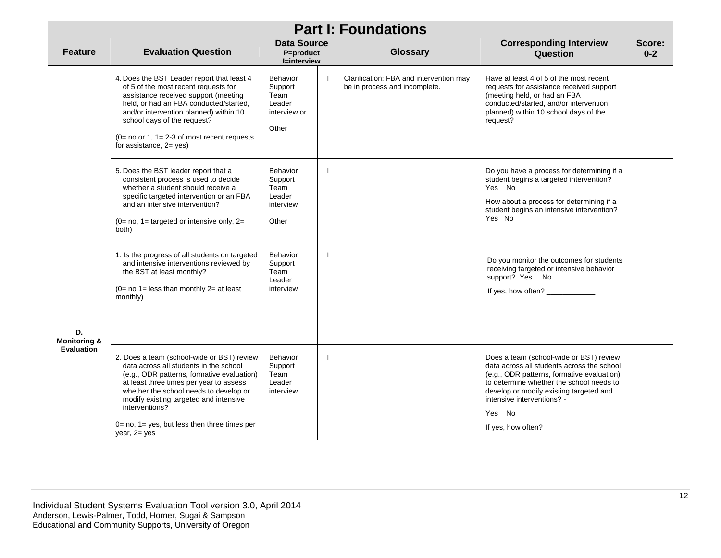| <b>Part I: Foundations</b>    |                                                                                                                                                                                                                                                                                                                                                                |                                                                       |  |                                                                          |                                                                                                                                                                                                                                                                                          |                   |  |
|-------------------------------|----------------------------------------------------------------------------------------------------------------------------------------------------------------------------------------------------------------------------------------------------------------------------------------------------------------------------------------------------------------|-----------------------------------------------------------------------|--|--------------------------------------------------------------------------|------------------------------------------------------------------------------------------------------------------------------------------------------------------------------------------------------------------------------------------------------------------------------------------|-------------------|--|
| <b>Feature</b>                | <b>Evaluation Question</b>                                                                                                                                                                                                                                                                                                                                     | <b>Data Source</b><br>P=product<br><b>I=interview</b>                 |  | <b>Glossary</b>                                                          | <b>Corresponding Interview</b><br>Question                                                                                                                                                                                                                                               | Score:<br>$0 - 2$ |  |
|                               | 4. Does the BST Leader report that least 4<br>of 5 of the most recent requests for<br>assistance received support (meeting<br>held, or had an FBA conducted/started,<br>and/or intervention planned) within 10<br>school days of the request?<br>$(0=$ no or 1, 1= 2-3 of most recent requests<br>for assistance, $2 = yes$ )                                  | <b>Behavior</b><br>Support<br>Team<br>Leader<br>interview or<br>Other |  | Clarification: FBA and intervention may<br>be in process and incomplete. | Have at least 4 of 5 of the most recent<br>requests for assistance received support<br>(meeting held, or had an FBA<br>conducted/started, and/or intervention<br>planned) within 10 school days of the<br>request?                                                                       |                   |  |
|                               | 5. Does the BST leader report that a<br>consistent process is used to decide<br>whether a student should receive a<br>specific targeted intervention or an FBA<br>and an intensive intervention?<br>$(0= no, 1= targeted or intensive only, 2=$<br>both)                                                                                                       | <b>Behavior</b><br>Support<br>Team<br>Leader<br>interview<br>Other    |  |                                                                          | Do you have a process for determining if a<br>student begins a targeted intervention?<br>Yes No<br>How about a process for determining if a<br>student begins an intensive intervention?<br>Yes No                                                                                       |                   |  |
| D.<br><b>Monitoring &amp;</b> | 1. Is the progress of all students on targeted<br>and intensive interventions reviewed by<br>the BST at least monthly?<br>$(0=$ no 1= less than monthly 2= at least<br>monthly)                                                                                                                                                                                | Behavior<br>Support<br>Team<br>Leader<br>interview                    |  |                                                                          | Do you monitor the outcomes for students<br>receiving targeted or intensive behavior<br>support? Yes No<br>If yes, how often?                                                                                                                                                            |                   |  |
| <b>Evaluation</b>             | 2. Does a team (school-wide or BST) review<br>data across all students in the school<br>(e.g., ODR patterns, formative evaluation)<br>at least three times per year to assess<br>whether the school needs to develop or<br>modify existing targeted and intensive<br>interventions?<br>$0 = no$ , $1 = yes$ , but less then three times per<br>year, $2 = yes$ | <b>Behavior</b><br>Support<br>Team<br>Leader<br>interview             |  |                                                                          | Does a team (school-wide or BST) review<br>data across all students across the school<br>(e.g., ODR patterns, formative evaluation)<br>to determine whether the school needs to<br>develop or modify existing targeted and<br>intensive interventions? -<br>Yes No<br>If yes, how often? |                   |  |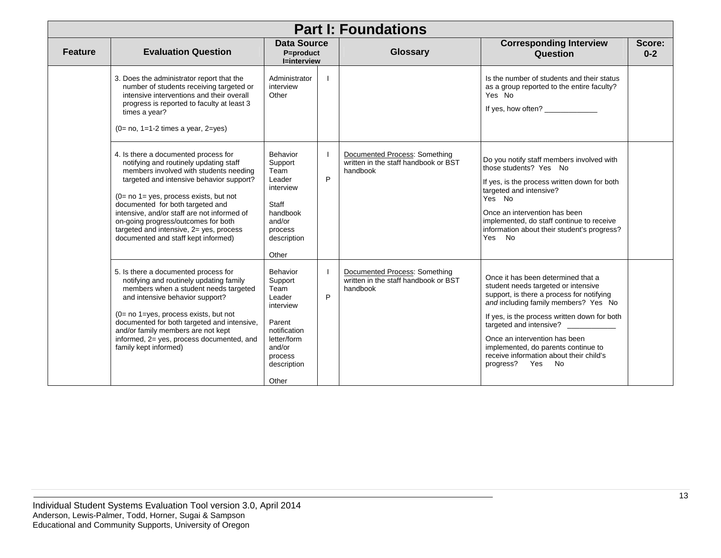|                |                                                                                                                                                                                                                                                                                                                                                                                                                                |                                                                                                                                          |   | <b>Part I: Foundations</b>                                                        |                                                                                                                                                                                                                                                                                                                                                                                  |                   |
|----------------|--------------------------------------------------------------------------------------------------------------------------------------------------------------------------------------------------------------------------------------------------------------------------------------------------------------------------------------------------------------------------------------------------------------------------------|------------------------------------------------------------------------------------------------------------------------------------------|---|-----------------------------------------------------------------------------------|----------------------------------------------------------------------------------------------------------------------------------------------------------------------------------------------------------------------------------------------------------------------------------------------------------------------------------------------------------------------------------|-------------------|
| <b>Feature</b> | <b>Evaluation Question</b>                                                                                                                                                                                                                                                                                                                                                                                                     | <b>Data Source</b><br>P=product<br><b>I=interview</b>                                                                                    |   | Glossary                                                                          | <b>Corresponding Interview</b><br>Question                                                                                                                                                                                                                                                                                                                                       | Score:<br>$0 - 2$ |
|                | 3. Does the administrator report that the<br>number of students receiving targeted or<br>intensive interventions and their overall<br>progress is reported to faculty at least 3<br>times a year?<br>$(0= no, 1=1-2$ times a year, $2=yes$ )                                                                                                                                                                                   | Administrator<br>interview<br>Other                                                                                                      |   |                                                                                   | Is the number of students and their status<br>as a group reported to the entire faculty?<br>Yes No<br>If yes, how often?                                                                                                                                                                                                                                                         |                   |
|                | 4. Is there a documented process for<br>notifying and routinely updating staff<br>members involved with students needing<br>targeted and intensive behavior support?<br>$(0=$ no $1=$ yes, process exists, but not<br>documented for both targeted and<br>intensive, and/or staff are not informed of<br>on-going progress/outcomes for both<br>targeted and intensive, 2= yes, process<br>documented and staff kept informed) | Behavior<br>Support<br>Team<br>Leader<br>interview<br>Staff<br>handbook<br>and/or<br>process<br>description<br>Other                     | P | Documented Process: Something<br>written in the staff handbook or BST<br>handbook | Do you notify staff members involved with<br>those students? Yes No<br>If yes, is the process written down for both<br>targeted and intensive?<br>Yes No<br>Once an intervention has been<br>implemented, do staff continue to receive<br>information about their student's progress?<br>Yes No                                                                                  |                   |
|                | 5. Is there a documented process for<br>notifying and routinely updating family<br>members when a student needs targeted<br>and intensive behavior support?<br>(0= no 1=yes, process exists, but not<br>documented for both targeted and intensive,<br>and/or family members are not kept<br>informed, 2= yes, process documented, and<br>family kept informed)                                                                | Behavior<br>Support<br>Team<br>Leader<br>interview<br>Parent<br>notification<br>letter/form<br>and/or<br>process<br>description<br>Other | P | Documented Process: Something<br>written in the staff handbook or BST<br>handbook | Once it has been determined that a<br>student needs targeted or intensive<br>support, is there a process for notifying<br>and including family members? Yes No<br>If yes, is the process written down for both<br>targeted and intensive?<br>Once an intervention has been<br>implemented, do parents continue to<br>receive information about their child's<br>progress? Yes No |                   |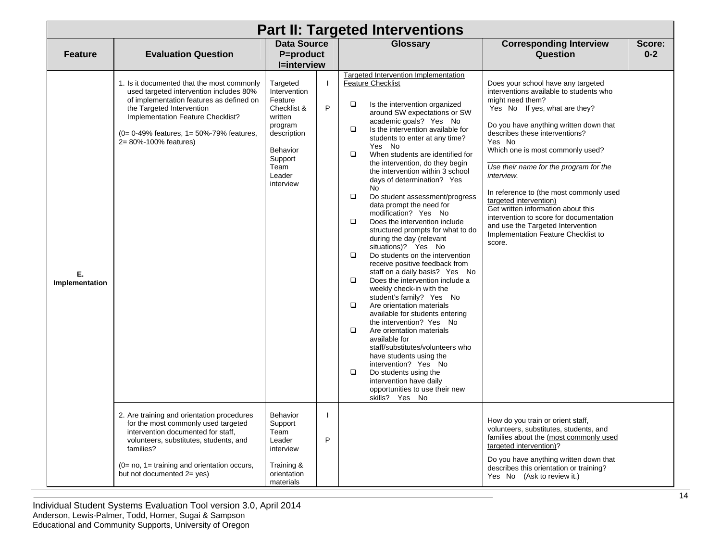|                      | <b>Part II: Targeted Interventions</b>                                                                                                                                                                                                                                   |                                                                                                                                                      |   |                                                                                                                                                                                                                                                                                                                                                                                                                                                                                                                                                                                                                                                                                                                                                                                                                                                                                                                                                                                                                                                                                                                                                                                                                                                                  |                                                                                                                                                                                                                                                                                                                                                                                                                                                                                                                                                                  |                   |  |  |  |
|----------------------|--------------------------------------------------------------------------------------------------------------------------------------------------------------------------------------------------------------------------------------------------------------------------|------------------------------------------------------------------------------------------------------------------------------------------------------|---|------------------------------------------------------------------------------------------------------------------------------------------------------------------------------------------------------------------------------------------------------------------------------------------------------------------------------------------------------------------------------------------------------------------------------------------------------------------------------------------------------------------------------------------------------------------------------------------------------------------------------------------------------------------------------------------------------------------------------------------------------------------------------------------------------------------------------------------------------------------------------------------------------------------------------------------------------------------------------------------------------------------------------------------------------------------------------------------------------------------------------------------------------------------------------------------------------------------------------------------------------------------|------------------------------------------------------------------------------------------------------------------------------------------------------------------------------------------------------------------------------------------------------------------------------------------------------------------------------------------------------------------------------------------------------------------------------------------------------------------------------------------------------------------------------------------------------------------|-------------------|--|--|--|
| <b>Feature</b>       | <b>Evaluation Question</b>                                                                                                                                                                                                                                               | <b>Data Source</b><br><b>P=product</b><br><b>I=interview</b>                                                                                         |   | Glossary                                                                                                                                                                                                                                                                                                                                                                                                                                                                                                                                                                                                                                                                                                                                                                                                                                                                                                                                                                                                                                                                                                                                                                                                                                                         | <b>Corresponding Interview</b><br>Question                                                                                                                                                                                                                                                                                                                                                                                                                                                                                                                       | Score:<br>$0 - 2$ |  |  |  |
| Е.<br>Implementation | 1. Is it documented that the most commonly<br>used targeted intervention includes 80%<br>of implementation features as defined on<br>the Targeted Intervention<br>Implementation Feature Checklist?<br>(0= 0-49% features, 1= 50%-79% features,<br>2= 80%-100% features) | Targeted<br>Intervention<br>Feature<br>Checklist &<br>written<br>program<br>description<br><b>Behavior</b><br>Support<br>Team<br>Leader<br>interview | P | <b>Targeted Intervention Implementation</b><br><b>Feature Checklist</b><br>$\Box$<br>Is the intervention organized<br>around SW expectations or SW<br>academic goals? Yes No<br>$\Box$<br>Is the intervention available for<br>students to enter at any time?<br>Yes No<br>$\Box$<br>When students are identified for<br>the intervention, do they begin<br>the intervention within 3 school<br>days of determination? Yes<br>No<br>$\Box$<br>Do student assessment/progress<br>data prompt the need for<br>modification? Yes No<br>$\Box$<br>Does the intervention include<br>structured prompts for what to do<br>during the day (relevant<br>situations)? Yes No<br>$\Box$<br>Do students on the intervention<br>receive positive feedback from<br>staff on a daily basis? Yes No<br>$\Box$<br>Does the intervention include a<br>weekly check-in with the<br>student's family? Yes No<br>$\Box$<br>Are orientation materials<br>available for students entering<br>the intervention? Yes No<br>$\Box$<br>Are orientation materials<br>available for<br>staff/substitutes/volunteers who<br>have students using the<br>intervention? Yes No<br>$\Box$<br>Do students using the<br>intervention have daily<br>opportunities to use their new<br>skills? Yes No | Does your school have any targeted<br>interventions available to students who<br>might need them?<br>Yes No If yes, what are they?<br>Do you have anything written down that<br>describes these interventions?<br>Yes No<br>Which one is most commonly used?<br>Use their name for the program for the<br>interview.<br>In reference to (the most commonly used<br>targeted intervention)<br>Get written information about this<br>intervention to score for documentation<br>and use the Targeted Intervention<br>Implementation Feature Checklist to<br>score. |                   |  |  |  |
|                      | 2. Are training and orientation procedures<br>for the most commonly used targeted<br>intervention documented for staff.<br>volunteers, substitutes, students, and<br>families?                                                                                           | <b>Behavior</b><br>Support<br>Team<br>Leader<br>interview                                                                                            | P |                                                                                                                                                                                                                                                                                                                                                                                                                                                                                                                                                                                                                                                                                                                                                                                                                                                                                                                                                                                                                                                                                                                                                                                                                                                                  | How do you train or orient staff,<br>volunteers, substitutes, students, and<br>families about the (most commonly used<br>targeted intervention)?                                                                                                                                                                                                                                                                                                                                                                                                                 |                   |  |  |  |
|                      | (0= no, 1= training and orientation occurs,<br>but not documented 2= yes)                                                                                                                                                                                                | Training &<br>orientation<br>materials                                                                                                               |   |                                                                                                                                                                                                                                                                                                                                                                                                                                                                                                                                                                                                                                                                                                                                                                                                                                                                                                                                                                                                                                                                                                                                                                                                                                                                  | Do you have anything written down that<br>describes this orientation or training?<br>Yes No (Ask to review it.)                                                                                                                                                                                                                                                                                                                                                                                                                                                  |                   |  |  |  |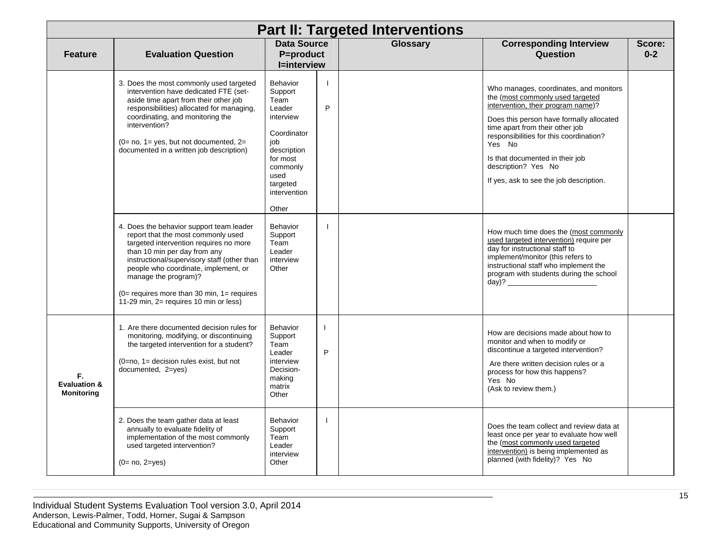|                                                    | <b>Part II: Targeted Interventions</b>                                                                                                                                                                                                                                                                                                                              |                                                                                                                                                              |                   |                 |                                                                                                                                                                                                                                                                                                                                                           |                   |  |  |  |
|----------------------------------------------------|---------------------------------------------------------------------------------------------------------------------------------------------------------------------------------------------------------------------------------------------------------------------------------------------------------------------------------------------------------------------|--------------------------------------------------------------------------------------------------------------------------------------------------------------|-------------------|-----------------|-----------------------------------------------------------------------------------------------------------------------------------------------------------------------------------------------------------------------------------------------------------------------------------------------------------------------------------------------------------|-------------------|--|--|--|
| <b>Feature</b>                                     | <b>Evaluation Question</b>                                                                                                                                                                                                                                                                                                                                          | <b>Data Source</b><br>P=product<br><b>I=interview</b>                                                                                                        |                   | <b>Glossary</b> | <b>Corresponding Interview</b><br>Question                                                                                                                                                                                                                                                                                                                | Score:<br>$0 - 2$ |  |  |  |
|                                                    | 3. Does the most commonly used targeted<br>intervention have dedicated FTE (set-<br>aside time apart from their other job<br>responsibilities) allocated for managing,<br>coordinating, and monitoring the<br>intervention?<br>$(0=$ no, $1=$ yes, but not documented, $2=$<br>documented in a written job description)                                             | Behavior<br>Support<br>Team<br>Leader<br>interview<br>Coordinator<br>job<br>description<br>for most<br>commonly<br>used<br>targeted<br>intervention<br>Other | $\mathbf{I}$<br>P |                 | Who manages, coordinates, and monitors<br>the (most commonly used targeted<br>intervention, their program name)?<br>Does this person have formally allocated<br>time apart from their other job<br>responsibilities for this coordination?<br>Yes No<br>Is that documented in their job<br>description? Yes No<br>If yes, ask to see the job description. |                   |  |  |  |
|                                                    | 4. Does the behavior support team leader<br>report that the most commonly used<br>targeted intervention requires no more<br>than 10 min per day from any<br>instructional/supervisory staff (other than<br>people who coordinate, implement, or<br>manage the program)?<br>$(0=$ requires more than 30 min, $1=$ requires<br>11-29 min, 2= requires 10 min or less) | <b>Behavior</b><br>Support<br>Team<br>Leader<br>interview<br>Other                                                                                           | $\mathbf{I}$      |                 | How much time does the (most commonly<br>used targeted intervention) require per<br>day for instructional staff to<br>implement/monitor (this refers to<br>instructional staff who implement the<br>program with students during the school<br>day)? ________________                                                                                     |                   |  |  |  |
| F.<br><b>Evaluation &amp;</b><br><b>Monitoring</b> | 1. Are there documented decision rules for<br>monitoring, modifying, or discontinuing<br>the targeted intervention for a student?<br>$(0=no, 1=$ decision rules exist, but not<br>documented, 2=yes)                                                                                                                                                                | Behavior<br>Support<br>Team<br>Leader<br>interview<br>Decision-<br>making<br>matrix<br>Other                                                                 | L<br>P            |                 | How are decisions made about how to<br>monitor and when to modify or<br>discontinue a targeted intervention?<br>Are there written decision rules or a<br>process for how this happens?<br>Yes No<br>(Ask to review them.)                                                                                                                                 |                   |  |  |  |
|                                                    | 2. Does the team gather data at least<br>annually to evaluate fidelity of<br>implementation of the most commonly<br>used targeted intervention?<br>$(0=no, 2=yes)$                                                                                                                                                                                                  | Behavior<br>Support<br>Team<br>Leader<br>interview<br>Other                                                                                                  |                   |                 | Does the team collect and review data at<br>least once per year to evaluate how well<br>the (most commonly used targeted<br>intervention) is being implemented as<br>planned (with fidelity)? Yes No                                                                                                                                                      |                   |  |  |  |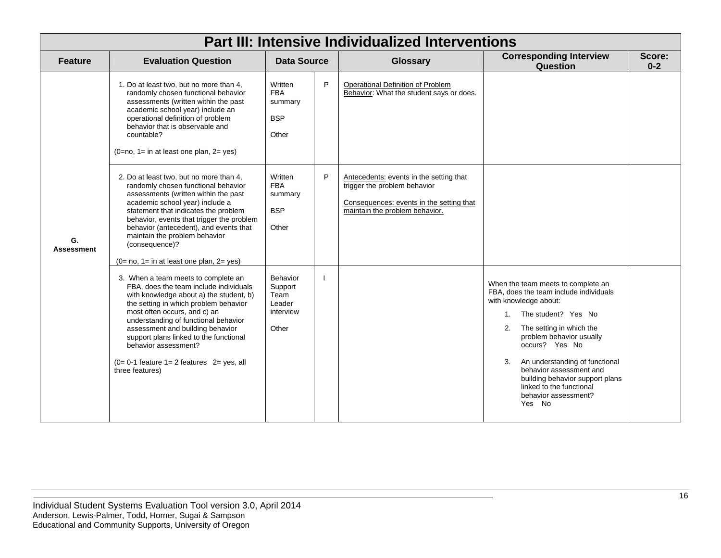|                         | <b>Part III: Intensive Individualized Interventions</b>                                                                                                                                                                                                                                                                                                                                                               |                                                             |    |                                                                                                                                                       |                                                                                                                                                                                                                                                                                                                                                                                     |                   |  |  |  |  |
|-------------------------|-----------------------------------------------------------------------------------------------------------------------------------------------------------------------------------------------------------------------------------------------------------------------------------------------------------------------------------------------------------------------------------------------------------------------|-------------------------------------------------------------|----|-------------------------------------------------------------------------------------------------------------------------------------------------------|-------------------------------------------------------------------------------------------------------------------------------------------------------------------------------------------------------------------------------------------------------------------------------------------------------------------------------------------------------------------------------------|-------------------|--|--|--|--|
| <b>Feature</b>          | <b>Evaluation Question</b>                                                                                                                                                                                                                                                                                                                                                                                            | <b>Data Source</b>                                          |    | <b>Glossary</b>                                                                                                                                       | <b>Corresponding Interview</b><br>Question                                                                                                                                                                                                                                                                                                                                          | Score:<br>$0 - 2$ |  |  |  |  |
|                         | 1. Do at least two, but no more than 4,<br>randomly chosen functional behavior<br>assessments (written within the past<br>academic school year) include an<br>operational definition of problem<br>behavior that is observable and<br>countable?<br>$(0=no, 1= in at least one plan, 2=yes)$                                                                                                                          | Written<br><b>FBA</b><br>summary<br><b>BSP</b><br>Other     | P  | Operational Definition of Problem<br>Behavior: What the student says or does.                                                                         |                                                                                                                                                                                                                                                                                                                                                                                     |                   |  |  |  |  |
| G.<br><b>Assessment</b> | 2. Do at least two, but no more than 4,<br>randomly chosen functional behavior<br>assessments (written within the past<br>academic school year) include a<br>statement that indicates the problem<br>behavior, events that trigger the problem<br>behavior (antecedent), and events that<br>maintain the problem behavior<br>(consequence)?<br>$(0= no, 1= in at least one plan, 2= yes)$                             | Written<br><b>FBA</b><br>summary<br><b>BSP</b><br>Other     | P  | Antecedents: events in the setting that<br>trigger the problem behavior<br>Consequences: events in the setting that<br>maintain the problem behavior. |                                                                                                                                                                                                                                                                                                                                                                                     |                   |  |  |  |  |
|                         | 3. When a team meets to complete an<br>FBA, does the team include individuals<br>with knowledge about a) the student, b)<br>the setting in which problem behavior<br>most often occurs, and c) an<br>understanding of functional behavior<br>assessment and building behavior<br>support plans linked to the functional<br>behavior assessment?<br>$(0= 0-1$ feature $1= 2$ features $2=$ yes, all<br>three features) | Behavior<br>Support<br>Team<br>Leader<br>interview<br>Other | -1 |                                                                                                                                                       | When the team meets to complete an<br>FBA, does the team include individuals<br>with knowledge about:<br>1. The student? Yes No<br>The setting in which the<br>2.<br>problem behavior usually<br>occurs? Yes No<br>3.<br>An understanding of functional<br>behavior assessment and<br>building behavior support plans<br>linked to the functional<br>behavior assessment?<br>Yes No |                   |  |  |  |  |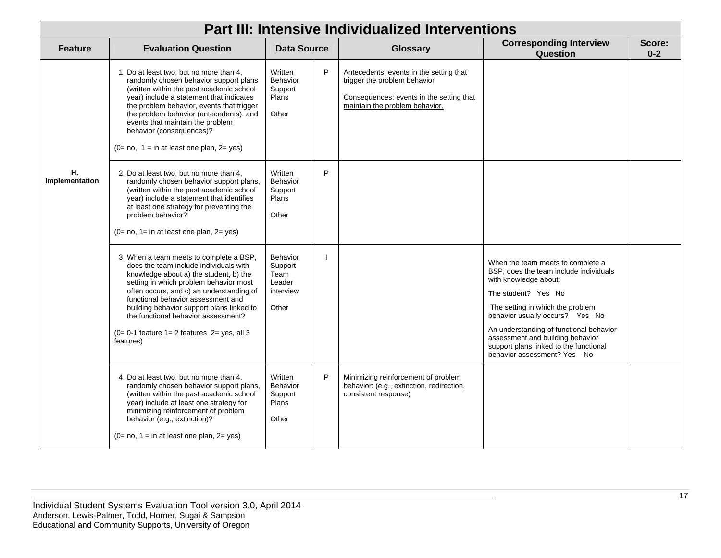|                      | <b>Part III: Intensive Individualized Interventions</b>                                                                                                                                                                                                                                                                                                                                                     |                                                                    |   |                                                                                                                                                       |                                                                                                                                                                                                                                                                                                                                                            |                   |  |  |  |  |
|----------------------|-------------------------------------------------------------------------------------------------------------------------------------------------------------------------------------------------------------------------------------------------------------------------------------------------------------------------------------------------------------------------------------------------------------|--------------------------------------------------------------------|---|-------------------------------------------------------------------------------------------------------------------------------------------------------|------------------------------------------------------------------------------------------------------------------------------------------------------------------------------------------------------------------------------------------------------------------------------------------------------------------------------------------------------------|-------------------|--|--|--|--|
| <b>Feature</b>       | <b>Evaluation Question</b>                                                                                                                                                                                                                                                                                                                                                                                  | <b>Data Source</b>                                                 |   | <b>Glossary</b>                                                                                                                                       | <b>Corresponding Interview</b><br>Question                                                                                                                                                                                                                                                                                                                 | Score:<br>$0 - 2$ |  |  |  |  |
|                      | 1. Do at least two, but no more than 4,<br>randomly chosen behavior support plans<br>(written within the past academic school<br>year) include a statement that indicates<br>the problem behavior, events that trigger<br>the problem behavior (antecedents), and<br>events that maintain the problem<br>behavior (consequences)?<br>$(0= no, 1 = in at least one plan, 2 = yes)$                           | Written<br><b>Behavior</b><br>Support<br>Plans<br>Other            | P | Antecedents: events in the setting that<br>trigger the problem behavior<br>Consequences: events in the setting that<br>maintain the problem behavior. |                                                                                                                                                                                                                                                                                                                                                            |                   |  |  |  |  |
| н.<br>Implementation | 2. Do at least two, but no more than 4,<br>randomly chosen behavior support plans,<br>(written within the past academic school<br>year) include a statement that identifies<br>at least one strategy for preventing the<br>problem behavior?<br>$(0= no, 1= in at least one plan, 2= yes)$                                                                                                                  | Written<br><b>Behavior</b><br>Support<br>Plans<br>Other            | P |                                                                                                                                                       |                                                                                                                                                                                                                                                                                                                                                            |                   |  |  |  |  |
|                      | 3. When a team meets to complete a BSP,<br>does the team include individuals with<br>knowledge about a) the student, b) the<br>setting in which problem behavior most<br>often occurs, and c) an understanding of<br>functional behavior assessment and<br>building behavior support plans linked to<br>the functional behavior assessment?<br>$(0=0-1$ feature $1=2$ features $2=$ yes, all 3<br>features) | <b>Behavior</b><br>Support<br>Team<br>Leader<br>interview<br>Other |   |                                                                                                                                                       | When the team meets to complete a<br>BSP, does the team include individuals<br>with knowledge about:<br>The student? Yes No<br>The setting in which the problem<br>behavior usually occurs? Yes No<br>An understanding of functional behavior<br>assessment and building behavior<br>support plans linked to the functional<br>behavior assessment? Yes No |                   |  |  |  |  |
|                      | 4. Do at least two, but no more than 4,<br>randomly chosen behavior support plans,<br>(written within the past academic school<br>year) include at least one strategy for<br>minimizing reinforcement of problem<br>behavior (e.g., extinction)?<br>$(0= no, 1 = in at least one plan, 2 = yes)$                                                                                                            | Written<br>Behavior<br>Support<br>Plans<br>Other                   | P | Minimizing reinforcement of problem<br>behavior: (e.g., extinction, redirection,<br>consistent response)                                              |                                                                                                                                                                                                                                                                                                                                                            |                   |  |  |  |  |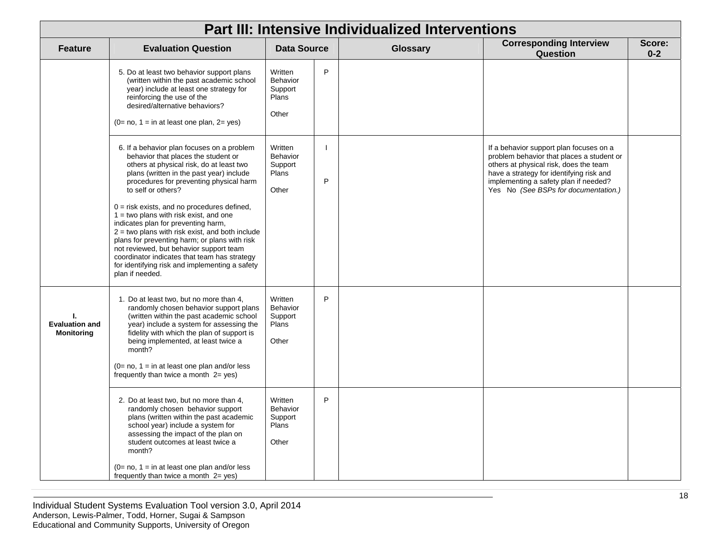| <b>Part III: Intensive Individualized Interventions</b> |                                                                                                                                                                                                                                                                                                                                                                                                                                                                                                                                                                                                                                                      |                                                         |   |          |                                                                                                                                                                                                                                                             |  |                                            |                   |  |
|---------------------------------------------------------|------------------------------------------------------------------------------------------------------------------------------------------------------------------------------------------------------------------------------------------------------------------------------------------------------------------------------------------------------------------------------------------------------------------------------------------------------------------------------------------------------------------------------------------------------------------------------------------------------------------------------------------------------|---------------------------------------------------------|---|----------|-------------------------------------------------------------------------------------------------------------------------------------------------------------------------------------------------------------------------------------------------------------|--|--------------------------------------------|-------------------|--|
| <b>Feature</b>                                          | <b>Evaluation Question</b>                                                                                                                                                                                                                                                                                                                                                                                                                                                                                                                                                                                                                           | <b>Data Source</b>                                      |   | Glossary |                                                                                                                                                                                                                                                             |  | <b>Corresponding Interview</b><br>Question | Score:<br>$0 - 2$ |  |
|                                                         | 5. Do at least two behavior support plans<br>(written within the past academic school<br>year) include at least one strategy for<br>reinforcing the use of the<br>desired/alternative behaviors?<br>$(0= no, 1 = in at least one plan, 2 = yes)$                                                                                                                                                                                                                                                                                                                                                                                                     | Written<br><b>Behavior</b><br>Support<br>Plans<br>Other | P |          |                                                                                                                                                                                                                                                             |  |                                            |                   |  |
|                                                         | 6. If a behavior plan focuses on a problem<br>behavior that places the student or<br>others at physical risk, do at least two<br>plans (written in the past year) include<br>procedures for preventing physical harm<br>to self or others?<br>$0 =$ risk exists, and no procedures defined,<br>$1 =$ two plans with risk exist, and one<br>indicates plan for preventing harm,<br>$2 =$ two plans with risk exist, and both include<br>plans for preventing harm; or plans with risk<br>not reviewed, but behavior support team<br>coordinator indicates that team has strategy<br>for identifying risk and implementing a safety<br>plan if needed. | Written<br>Behavior<br>Support<br>Plans<br>Other        | P |          | If a behavior support plan focuses on a<br>problem behavior that places a student or<br>others at physical risk, does the team<br>have a strategy for identifying risk and<br>implementing a safety plan if needed?<br>Yes No (See BSPs for documentation.) |  |                                            |                   |  |
| т.<br><b>Evaluation and</b><br><b>Monitoring</b>        | 1. Do at least two, but no more than 4,<br>randomly chosen behavior support plans<br>(written within the past academic school<br>year) include a system for assessing the<br>fidelity with which the plan of support is<br>being implemented, at least twice a<br>month?<br>$(0=$ no, 1 = in at least one plan and/or less<br>frequently than twice a month $2 = yes$ )                                                                                                                                                                                                                                                                              | Written<br><b>Behavior</b><br>Support<br>Plans<br>Other | P |          |                                                                                                                                                                                                                                                             |  |                                            |                   |  |
|                                                         | 2. Do at least two, but no more than 4,<br>randomly chosen behavior support<br>plans (written within the past academic<br>school year) include a system for<br>assessing the impact of the plan on<br>student outcomes at least twice a<br>month?<br>$(0=$ no, 1 = in at least one plan and/or less<br>frequently than twice a month $2 = yes$ )                                                                                                                                                                                                                                                                                                     | Written<br><b>Behavior</b><br>Support<br>Plans<br>Other | P |          |                                                                                                                                                                                                                                                             |  |                                            |                   |  |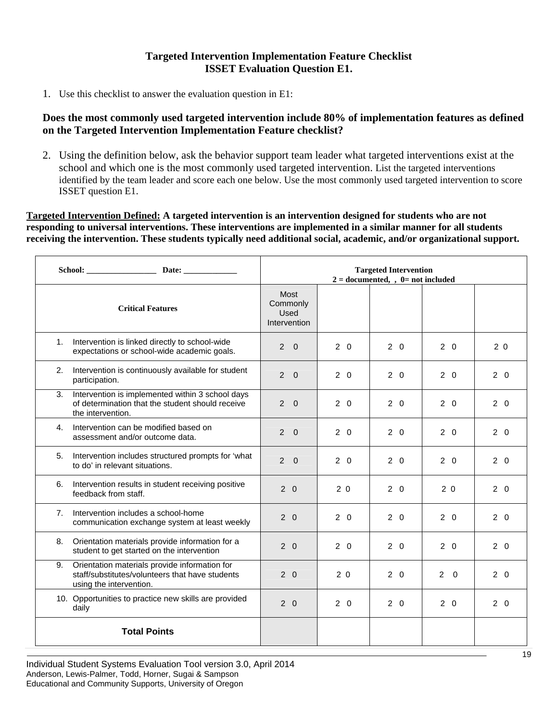# **Targeted Intervention Implementation Feature Checklist ISSET Evaluation Question E1.**

1. Use this checklist to answer the evaluation question in E1:

# **Does the most commonly used targeted intervention include 80% of implementation features as defined on the Targeted Intervention Implementation Feature checklist?**

2. Using the definition below, ask the behavior support team leader what targeted interventions exist at the school and which one is the most commonly used targeted intervention. List the targeted interventions identified by the team leader and score each one below. Use the most commonly used targeted intervention to score ISSET question E1.

**Targeted Intervention Defined: A targeted intervention is an intervention designed for students who are not responding to universal interventions. These interventions are implemented in a similar manner for all students receiving the intervention. These students typically need additional social, academic, and/or organizational support.** 

|                                                                                                                                   | <b>Targeted Intervention</b><br>$2 =$ documented, , $0 =$ not included |                |            |                |                |  |  |
|-----------------------------------------------------------------------------------------------------------------------------------|------------------------------------------------------------------------|----------------|------------|----------------|----------------|--|--|
| <b>Critical Features</b>                                                                                                          | <b>Most</b><br>Commonly<br>Used<br>Intervention                        |                |            |                |                |  |  |
| Intervention is linked directly to school-wide<br>1.<br>expectations or school-wide academic goals.                               | $2 \quad 0$                                                            | $2\quad 0$     | $2\quad 0$ | $2\quad 0$     | 2 <sub>0</sub> |  |  |
| 2.<br>Intervention is continuously available for student<br>participation.                                                        | $2 \quad 0$                                                            | $2\quad0$      | $2\quad0$  | $2\quad0$      | $2\quad0$      |  |  |
| Intervention is implemented within 3 school days<br>3.<br>of determination that the student should receive<br>the intervention.   | $\overline{2}$<br>$\Omega$                                             | $2\quad 0$     | $2\quad 0$ | $2\quad 0$     | $2\quad 0$     |  |  |
| Intervention can be modified based on<br>4.<br>assessment and/or outcome data.                                                    | $2 \quad 0$                                                            | $2\quad 0$     | $2\quad 0$ | $2\quad 0$     | $2\quad 0$     |  |  |
| Intervention includes structured prompts for 'what<br>5.<br>to do' in relevant situations.                                        | $\mathcal{P}$<br>$\Omega$                                              | $2\quad 0$     | $2\quad 0$ | $2\quad 0$     | $2\quad 0$     |  |  |
| Intervention results in student receiving positive<br>6.<br>feedback from staff.                                                  | $2\quad0$                                                              | 2 <sub>0</sub> | $2\quad 0$ | 2 <sub>0</sub> | $2\quad0$      |  |  |
| 7.<br>Intervention includes a school-home<br>communication exchange system at least weekly                                        | $2\quad 0$                                                             | $2\quad 0$     | $2\quad 0$ | $2\quad 0$     | $2\quad 0$     |  |  |
| Orientation materials provide information for a<br>8.<br>student to get started on the intervention                               | $2\quad0$                                                              | $2\quad0$      | $2\quad 0$ | $2\quad0$      | $2\quad0$      |  |  |
| 9.<br>Orientation materials provide information for<br>staff/substitutes/volunteers that have students<br>using the intervention. | $2\quad 0$                                                             | 2 <sub>0</sub> | $2\quad 0$ | $2 \quad 0$    | $2\quad 0$     |  |  |
| 10. Opportunities to practice new skills are provided<br>daily                                                                    | $2\quad 0$                                                             | $2\quad 0$     | $2\quad 0$ | $2\quad 0$     | $2\quad 0$     |  |  |
| <b>Total Points</b>                                                                                                               |                                                                        |                |            |                |                |  |  |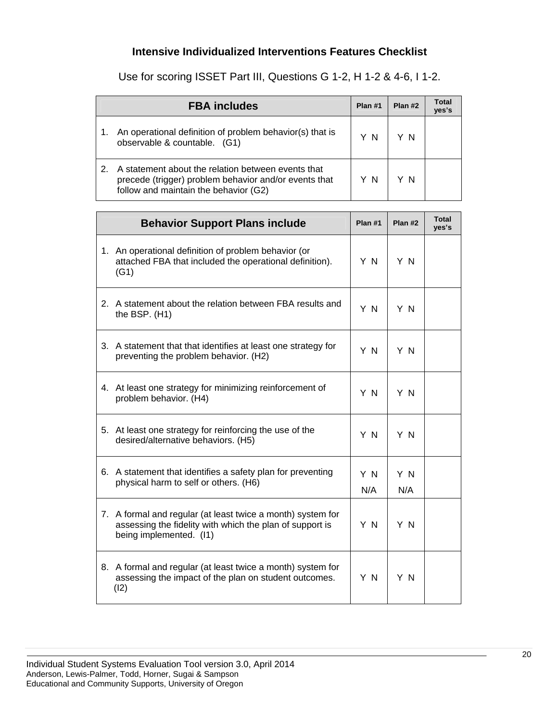# **Intensive Individualized Interventions Features Checklist**

Use for scoring ISSET Part III, Questions G 1-2, H 1-2 & 4-6, I 1-2.

| <b>FBA includes</b>                                                                                                                                  | Plan #1 | Plan #2 | Total<br>yes's |
|------------------------------------------------------------------------------------------------------------------------------------------------------|---------|---------|----------------|
| An operational definition of problem behavior(s) that is<br>observable & countable. (G1)                                                             | ΥN      | ΥN      |                |
| A statement about the relation between events that<br>precede (trigger) problem behavior and/or events that<br>follow and maintain the behavior (G2) | ΥN      | ΥN      |                |

| <b>Behavior Support Plans include</b>                                                                                                              | Plan #1    | Plan #2    | <b>Total</b><br>yes's |
|----------------------------------------------------------------------------------------------------------------------------------------------------|------------|------------|-----------------------|
| 1. An operational definition of problem behavior (or<br>attached FBA that included the operational definition).<br>(G1)                            | Y N        | Y N        |                       |
| 2. A statement about the relation between FBA results and<br>the BSP. $(H1)$                                                                       | Y N        | Y N        |                       |
| 3. A statement that that identifies at least one strategy for<br>preventing the problem behavior. (H2)                                             | Y N        | Y N        |                       |
| 4. At least one strategy for minimizing reinforcement of<br>problem behavior. (H4)                                                                 | Y N        | Y N        |                       |
| 5. At least one strategy for reinforcing the use of the<br>desired/alternative behaviors. (H5)                                                     | Y N        | Y N        |                       |
| 6. A statement that identifies a safety plan for preventing<br>physical harm to self or others. (H6)                                               | Y N<br>N/A | Y N<br>N/A |                       |
| 7. A formal and regular (at least twice a month) system for<br>assessing the fidelity with which the plan of support is<br>being implemented. (I1) | Y N        | Y N        |                       |
| 8. A formal and regular (at least twice a month) system for<br>assessing the impact of the plan on student outcomes.<br>(12)                       | Y N        | Y N        |                       |